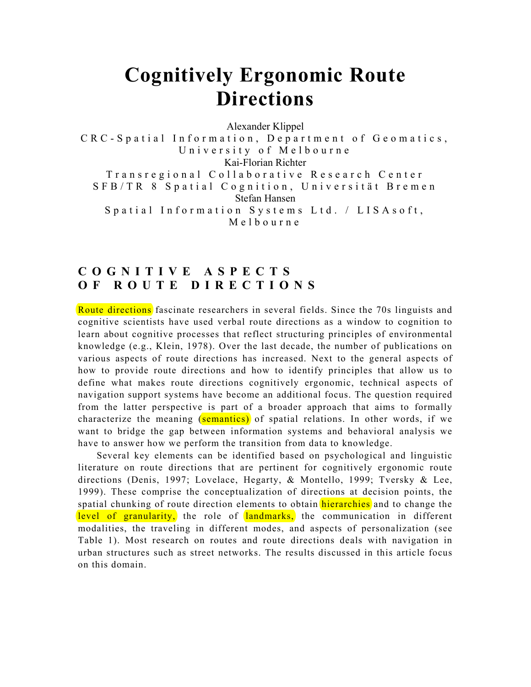# **Cognitively Ergonomic Route Directions**

Alexander Klippel

CRC-Spatial Information, Department of Geomatics, University of Melbourne Kai-Florian Richter Transregional Collaborative Research Center SFB/TR 8 Spatial Cognition, Universität Bremen Stefan Hansen Spatial Information Sy stems Ltd. / LISAsoft, Melbourne

## **COGNITIVE ASPECTS OF ROUTE DIRECTIONS**

Route directions fascinate researchers in several fields. Since the 70s linguists and cognitive scientists have used verbal route directions as a window to cognition to learn about cognitive processes that reflect structuring principles of environmental knowledge (e.g., Klein, 1978). Over the last decade, the number of publications on various aspects of route directions has increased. Next to the general aspects of how to provide route directions and how to identify principles that allow us to define what makes route directions cognitively ergonomic, technical aspects of navigation support systems have become an additional focus. The question required from the latter perspective is part of a broader approach that aims to formally characterize the meaning (semantics) of spatial relations. In other words, if we want to bridge the gap between information systems and behavioral analysis we have to answer how we perform the transition from data to knowledge.

Several key elements can be identified based on psychological and linguistic literature on route directions that are pertinent for cognitively ergonomic route directions (Denis, 1997; Lovelace, Hegarty, & Montello, 1999; Tversky & Lee, 1999). These comprise the conceptualization of directions at decision points, the spatial chunking of route direction elements to obtain hierarchies and to change the level of granularity, the role of  $\{$ landmarks, the communication in different modalities, the traveling in different modes, and aspects of personalization (see Table 1). Most research on routes and route directions deals with navigation in urban structures such as street networks. The results discussed in this article focus on this domain.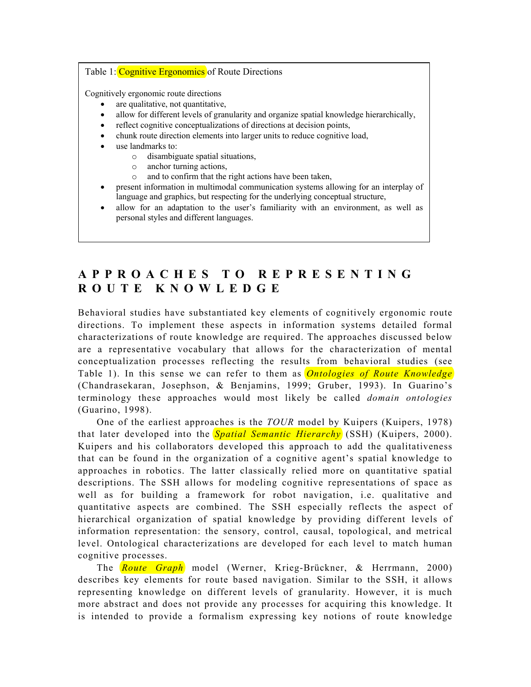#### Table 1: Cognitive Ergonomics of Route Directions

Cognitively ergonomic route directions

- are qualitative, not quantitative,
- allow for different levels of granularity and organize spatial knowledge hierarchically,
- reflect cognitive conceptualizations of directions at decision points,
- chunk route direction elements into larger units to reduce cognitive load,
- use landmarks to:
	- o disambiguate spatial situations,
	- o anchor turning actions,
	- o and to confirm that the right actions have been taken,
- present information in multimodal communication systems allowing for an interplay of language and graphics, but respecting for the underlying conceptual structure,
- allow for an adaptation to the user's familiarity with an environment, as well as personal styles and different languages.

# **APPROACHES TO REPRESENTING ROUTE KNOWLEDGE**

Behavioral studies have substantiated key elements of cognitively ergonomic route directions. To implement these aspects in information systems detailed formal characterizations of route knowledge are required. The approaches discussed below are a representative vocabulary that allows for the characterization of mental conceptualization processes reflecting the results from behavioral studies (see Table 1). In this sense we can refer to them as *Ontologies of Route Knowledge* (Chandrasekaran, Josephson, & Benjamins, 1999; Gruber, 1993). In Guarino's terminology these approaches would most likely be called *domain ontologies* (Guarino, 1998).

One of the earliest approaches is the *TOUR* model by Kuipers (Kuipers, 1978) that later developed into the *Spatial Semantic Hierarchy* (SSH) (Kuipers, 2000). Kuipers and his collaborators developed this approach to add the qualitativeness that can be found in the organization of a cognitive agent's spatial knowledge to approaches in robotics. The latter classically relied more on quantitative spatial descriptions. The SSH allows for modeling cognitive representations of space as well as for building a framework for robot navigation, i.e. qualitative and quantitative aspects are combined. The SSH especially reflects the aspect of hierarchical organization of spatial knowledge by providing different levels of information representation: the sensory, control, causal, topological, and metrical level. Ontological characterizations are developed for each level to match human cognitive processes.

The *Route Graph* model (Werner, Krieg-Brückner, & Herrmann, 2000) describes key elements for route based navigation. Similar to the SSH, it allows representing knowledge on different levels of granularity. However, it is much more abstract and does not provide any processes for acquiring this knowledge. It is intended to provide a formalism expressing key notions of route knowledge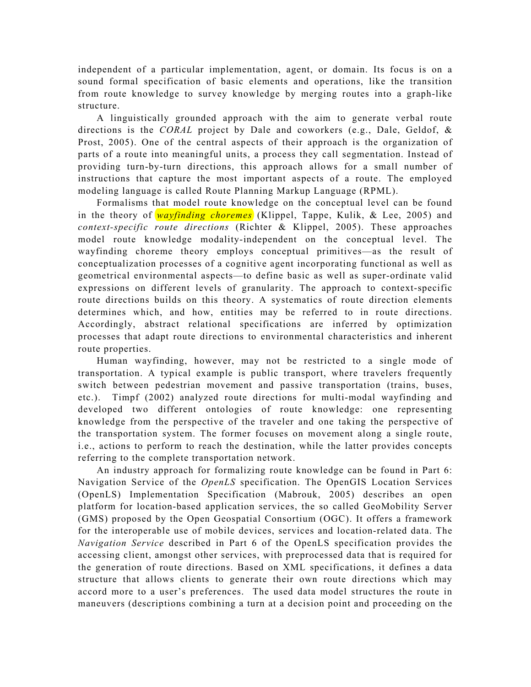independent of a particular implementation, agent, or domain. Its focus is on a sound formal specification of basic elements and operations, like the transition from route knowledge to survey knowledge by merging routes into a graph-like structure.

A linguistically grounded approach with the aim to generate verbal route directions is the *CORAL* project by Dale and coworkers (e.g., Dale, Geldof, & Prost, 2005). One of the central aspects of their approach is the organization of parts of a route into meaningful units, a process they call segmentation. Instead of providing turn-by-turn directions, this approach allows for a small number of instructions that capture the most important aspects of a route. The employed modeling language is called Route Planning Markup Language (RPML).

Formalisms that model route knowledge on the conceptual level can be found in the theory of *wayfinding choremes* (Klippel, Tappe, Kulik, & Lee, 2005) and *context-specific route directions* (Richter & Klippel, 2005). These approaches model route knowledge modality-independent on the conceptual level. The wayfinding choreme theory employs conceptual primitives—as the result of conceptualization processes of a cognitive agent incorporating functional as well as geometrical environmental aspects—to define basic as well as super-ordinate valid expressions on different levels of granularity. The approach to context-specific route directions builds on this theory. A systematics of route direction elements determines which, and how, entities may be referred to in route directions. Accordingly, abstract relational specifications are inferred by optimization processes that adapt route directions to environmental characteristics and inherent route properties.

Human wayfinding, however, may not be restricted to a single mode of transportation. A typical example is public transport, where travelers frequently switch between pedestrian movement and passive transportation (trains, buses, etc.). Timpf (2002) analyzed route directions for multi-modal wayfinding and developed two different ontologies of route knowledge: one representing knowledge from the perspective of the traveler and one taking the perspective of the transportation system. The former focuses on movement along a single route, i.e., actions to perform to reach the destination, while the latter provides concepts referring to the complete transportation network.

An industry approach for formalizing route knowledge can be found in Part 6: Navigation Service of the *OpenLS* specification. The OpenGIS Location Services (OpenLS) Implementation Specification (Mabrouk, 2005) describes an open platform for location-based application services, the so called GeoMobility Server (GMS) proposed by the Open Geospatial Consortium (OGC). It offers a framework for the interoperable use of mobile devices, services and location-related data. The *Navigation Service* described in Part 6 of the OpenLS specification provides the accessing client, amongst other services, with preprocessed data that is required for the generation of route directions. Based on XML specifications, it defines a data structure that allows clients to generate their own route directions which may accord more to a user's preferences. The used data model structures the route in maneuvers (descriptions combining a turn at a decision point and proceeding on the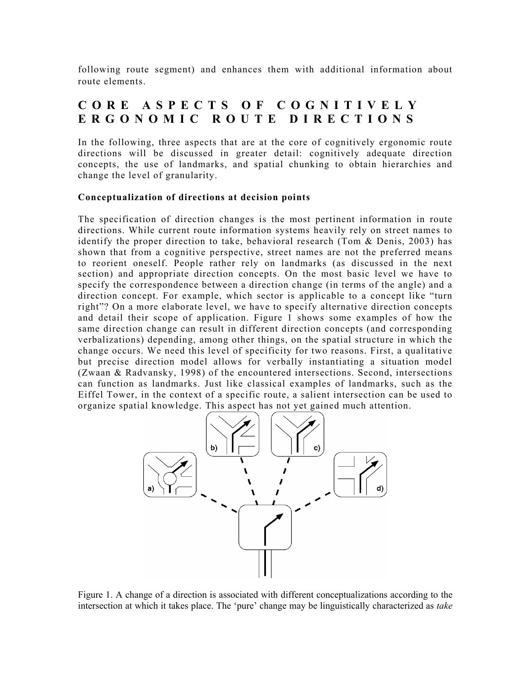following route segment) and enhances them with additional information about route elements.

# **CORE ASPECTS OF COGNITIVELY ERGONOMIC ROUTE DIRECTIONS**

In the following, three aspects that are at the core of cognitively ergonomic route directions will be discussed in greater detail: cognitively adequate direction concepts, the use of landmarks, and spatial chunking to obtain hierarchies and change the level of granularity.

#### **Conceptualization of directions at decision points**

The specification of direction changes is the most pertinent information in route directions. While current route information systems heavily rely on street names to identify the proper direction to take, behavioral research (Tom & Denis, 2003) has shown that from a cognitive perspective, street names are not the preferred means to reorient oneself. People rather rely on landmarks (as discussed in the next section) and appropriate direction concepts. On the most basic level we have to specify the correspondence between a direction change (in terms of the angle) and a direction concept. For example, which sector is applicable to a concept like "turn right"? On a more elaborate level, we have to specify alternative direction concepts and detail their scope of application. Figure 1 shows some examples of how the same direction change can result in different direction concepts (and corresponding verbalizations) depending, among other things, on the spatial structure in which the change occurs. We need this level of specificity for two reasons. First, a qualitative but precise direction model allows for verbally instantiating a situation model (Zwaan & Radvansky, 1998) of the encountered intersections. Second, intersections can function as landmarks. Just like classical examples of landmarks, such as the Eiffel Tower, in the context of a specific route, a salient intersection can be used to organize spatial knowledge. This aspect has not yet gained much attention.



Figure 1. A change of a direction is associated with different conceptualizations according to the intersection at which it takes place. The 'pure' change may be linguistically characterized as *take*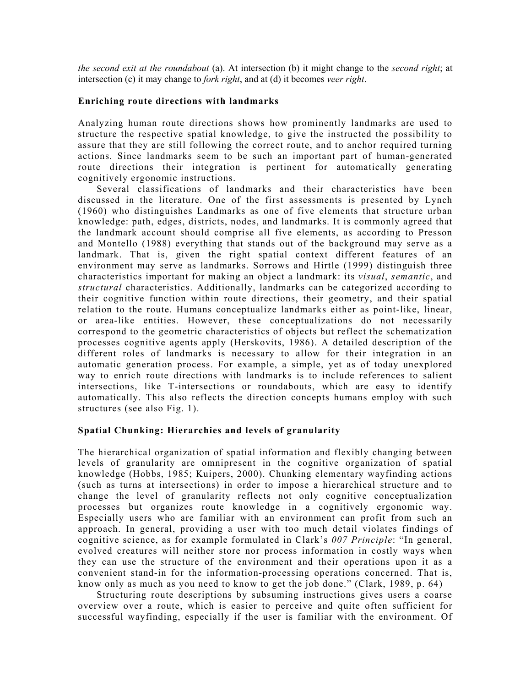*the second exit at the roundabout* (a). At intersection (b) it might change to the *second right*; at intersection (c) it may change to *fork right*, and at (d) it becomes *veer right*.

#### **Enriching route directions with landmarks**

Analyzing human route directions shows how prominently landmarks are used to structure the respective spatial knowledge, to give the instructed the possibility to assure that they are still following the correct route, and to anchor required turning actions. Since landmarks seem to be such an important part of human-generated route directions their integration is pertinent for automatically generating cognitively ergonomic instructions.

Several classifications of landmarks and their characteristics have been discussed in the literature. One of the first assessments is presented by Lynch (1960) who distinguishes Landmarks as one of five elements that structure urban knowledge: path, edges, districts, nodes, and landmarks. It is commonly agreed that the landmark account should comprise all five elements, as according to Presson and Montello (1988) everything that stands out of the background may serve as a landmark. That is, given the right spatial context different features of an environment may serve as landmarks. Sorrows and Hirtle (1999) distinguish three characteristics important for making an object a landmark: its *visual*, *semantic*, and *structural* characteristics. Additionally, landmarks can be categorized according to their cognitive function within route directions, their geometry, and their spatial relation to the route. Humans conceptualize landmarks either as point-like, linear, or area-like entities. However, these conceptualizations do not necessarily correspond to the geometric characteristics of objects but reflect the schematization processes cognitive agents apply (Herskovits, 1986). A detailed description of the different roles of landmarks is necessary to allow for their integration in an automatic generation process. For example, a simple, yet as of today unexplored way to enrich route directions with landmarks is to include references to salient intersections, like T-intersections or roundabouts, which are easy to identify automatically. This also reflects the direction concepts humans employ with such structures (see also Fig. 1).

#### **Spatial Chunking: Hierarchies and levels of granularity**

The hierarchical organization of spatial information and flexibly changing between levels of granularity are omnipresent in the cognitive organization of spatial knowledge (Hobbs, 1985; Kuipers, 2000). Chunking elementary wayfinding actions (such as turns at intersections) in order to impose a hierarchical structure and to change the level of granularity reflects not only cognitive conceptualization processes but organizes route knowledge in a cognitively ergonomic way. Especially users who are familiar with an environment can profit from such an approach. In general, providing a user with too much detail violates findings of cognitive science, as for example formulated in Clark's *007 Principle*: "In general, evolved creatures will neither store nor process information in costly ways when they can use the structure of the environment and their operations upon it as a convenient stand-in for the information-processing operations concerned. That is, know only as much as you need to know to get the job done." (Clark, 1989, p. 64)

Structuring route descriptions by subsuming instructions gives users a coarse overview over a route, which is easier to perceive and quite often sufficient for successful wayfinding, especially if the user is familiar with the environment. Of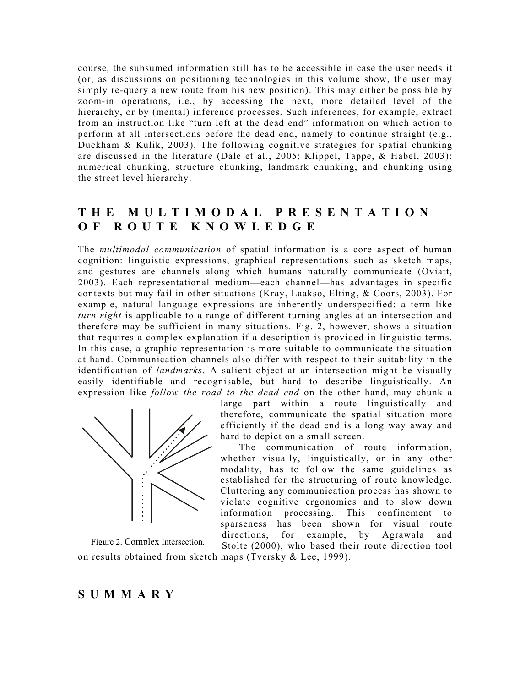course, the subsumed information still has to be accessible in case the user needs it (or, as discussions on positioning technologies in this volume show, the user may simply re-query a new route from his new position). This may either be possible by zoom-in operations, i.e., by accessing the next, more detailed level of the hierarchy, or by (mental) inference processes. Such inferences, for example, extract from an instruction like "turn left at the dead end" information on which action to perform at all intersections before the dead end, namely to continue straight (e.g., Duckham & Kulik, 2003). The following cognitive strategies for spatial chunking are discussed in the literature (Dale et al., 2005; Klippel, Tappe, & Habel, 2003): numerical chunking, structure chunking, landmark chunking, and chunking using the street level hierarchy.

## **THE MULTIMODAL PRESENTATION OF ROUTE KNOWLEDGE**

The *multimodal communication* of spatial information is a core aspect of human cognition: linguistic expressions, graphical representations such as sketch maps, and gestures are channels along which humans naturally communicate (Oviatt, 2003). Each representational medium—each channel—has advantages in specific contexts but may fail in other situations (Kray, Laakso, Elting, & Coors, 2003). For example, natural language expressions are inherently underspecified: a term like *turn right* is applicable to a range of different turning angles at an intersection and therefore may be sufficient in many situations. Fig. 2, however, shows a situation that requires a complex explanation if a description is provided in linguistic terms. In this case, a graphic representation is more suitable to communicate the situation at hand. Communication channels also differ with respect to their suitability in the identification of *landmarks*. A salient object at an intersection might be visually easily identifiable and recognisable, but hard to describe linguistically. An expression like *follow the road to the dead end* on the other hand, may chunk a



large part within a route linguistically and therefore, communicate the spatial situation more efficiently if the dead end is a long way away and hard to depict on a small screen.

The communication of route information, whether visually, linguistically, or in any other modality, has to follow the same guidelines as established for the structuring of route knowledge. Cluttering any communication process has shown to violate cognitive ergonomics and to slow down information processing. This confinement to sparseness has been shown for visual route directions, for example, by Agrawala and Stolte (2000), who based their route direction tool

on results obtained from sketch maps (Tversky & Lee, 1999). Figure 2. Complex Intersection.

## **SUMMARY**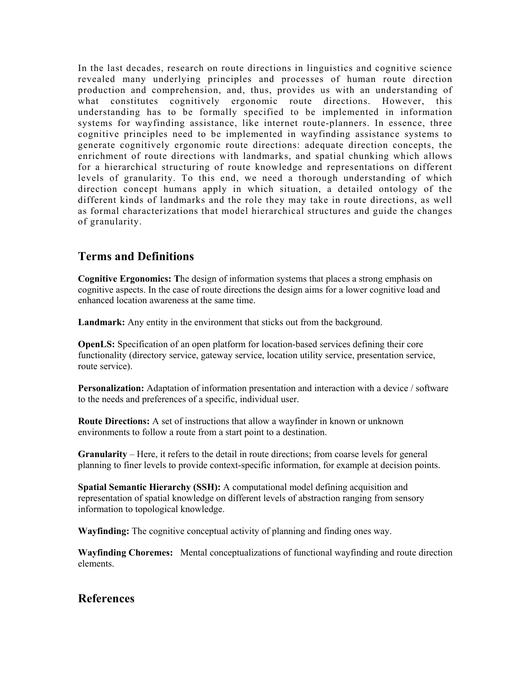In the last decades, research on route directions in linguistics and cognitive science revealed many underlying principles and processes of human route direction production and comprehension, and, thus, provides us with an understanding of what constitutes cognitively ergonomic route directions. However, this understanding has to be formally specified to be implemented in information systems for wayfinding assistance, like internet route-planners. In essence, three cognitive principles need to be implemented in wayfinding assistance systems to generate cognitively ergonomic route directions: adequate direction concepts, the enrichment of route directions with landmarks, and spatial chunking which allows for a hierarchical structuring of route knowledge and representations on different levels of granularity. To this end, we need a thorough understanding of which direction concept humans apply in which situation, a detailed ontology of the different kinds of landmarks and the role they may take in route directions, as well as formal characterizations that model hierarchical structures and guide the changes of granularity.

## **Terms and Definitions**

**Cognitive Ergonomics: T**he design of information systems that places a strong emphasis on cognitive aspects. In the case of route directions the design aims for a lower cognitive load and enhanced location awareness at the same time.

**Landmark:** Any entity in the environment that sticks out from the background.

**OpenLS:** Specification of an open platform for location-based services defining their core functionality (directory service, gateway service, location utility service, presentation service, route service).

**Personalization:** Adaptation of information presentation and interaction with a device / software to the needs and preferences of a specific, individual user.

**Route Directions:** A set of instructions that allow a wayfinder in known or unknown environments to follow a route from a start point to a destination.

**Granularity** – Here, it refers to the detail in route directions; from coarse levels for general planning to finer levels to provide context-specific information, for example at decision points.

**Spatial Semantic Hierarchy (SSH):** A computational model defining acquisition and representation of spatial knowledge on different levels of abstraction ranging from sensory information to topological knowledge.

**Wayfinding:** The cognitive conceptual activity of planning and finding ones way.

**Wayfinding Choremes:** Mental conceptualizations of functional wayfinding and route direction elements.

## **References**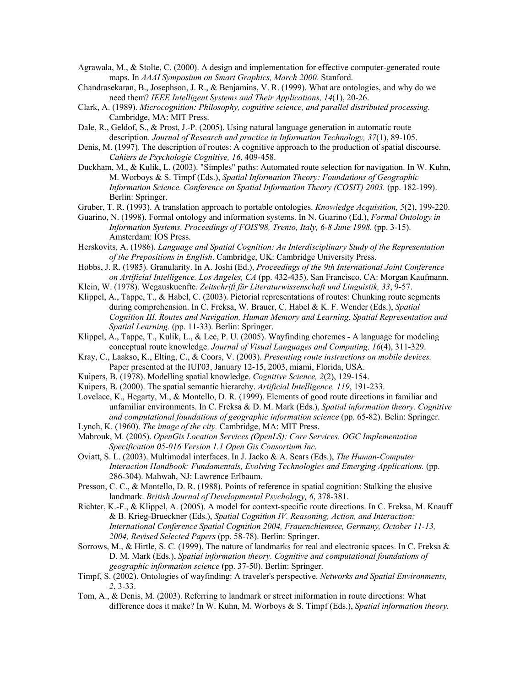Agrawala, M., & Stolte, C. (2000). A design and implementation for effective computer-generated route maps. In *AAAI Symposium on Smart Graphics, March 2000*. Stanford.

- Chandrasekaran, B., Josephson, J. R., & Benjamins, V. R. (1999). What are ontologies, and why do we need them? *IEEE Intelligent Systems and Their Applications, 14*(1), 20-26.
- Clark, A. (1989). *Microcognition: Philosophy, cognitive science, and parallel distributed processing.* Cambridge, MA: MIT Press.
- Dale, R., Geldof, S., & Prost, J.-P. (2005). Using natural language generation in automatic route description. *Journal of Research and practice in Information Technology, 37*(1), 89-105.
- Denis, M. (1997). The description of routes: A cognitive approach to the production of spatial discourse. *Cahiers de Psychologie Cognitive, 16*, 409-458.
- Duckham, M., & Kulik, L. (2003). "Simples" paths: Automated route selection for navigation. In W. Kuhn, M. Worboys & S. Timpf (Eds.), *Spatial Information Theory: Foundations of Geographic Information Science. Conference on Spatial Information Theory (COSIT) 2003.* (pp. 182-199). Berlin: Springer.
- Gruber, T. R. (1993). A translation approach to portable ontologies. *Knowledge Acquisition, 5*(2), 199-220.
- Guarino, N. (1998). Formal ontology and information systems. In N. Guarino (Ed.), *Formal Ontology in Information Systems. Proceedings of FOIS'98, Trento, Italy, 6-8 June 1998.* (pp. 3-15). Amsterdam: IOS Press.
- Herskovits, A. (1986). *Language and Spatial Cognition: An Interdisciplinary Study of the Representation of the Prepositions in English*. Cambridge, UK: Cambridge University Press.
- Hobbs, J. R. (1985). Granularity. In A. Joshi (Ed.), *Proceedings of the 9th International Joint Conference on Artificial Intelligence. Los Angeles, CA* (pp. 432-435). San Francisco, CA: Morgan Kaufmann.
- Klein, W. (1978). Wegauskuenfte. *Zeitschrift für Literaturwissenschaft und Linguistik, 33*, 9-57.
- Klippel, A., Tappe, T., & Habel, C. (2003). Pictorial representations of routes: Chunking route segments during comprehension. In C. Freksa, W. Brauer, C. Habel & K. F. Wender (Eds.), *Spatial Cognition III. Routes and Navigation, Human Memory and Learning, Spatial Representation and Spatial Learning.* (pp. 11-33). Berlin: Springer.
- Klippel, A., Tappe, T., Kulik, L., & Lee, P. U. (2005). Wayfinding choremes A language for modeling conceptual route knowledge. *Journal of Visual Languages and Computing, 16*(4), 311-329.
- Kray, C., Laakso, K., Elting, C., & Coors, V. (2003). *Presenting route instructions on mobile devices.* Paper presented at the IUI'03, January 12-15, 2003, miami, Florida, USA.
- Kuipers, B. (1978). Modelling spatial knowledge. *Cognitive Science, 2*(2), 129-154.
- Kuipers, B. (2000). The spatial semantic hierarchy. *Artificial Intelligence, 119*, 191-233.
- Lovelace, K., Hegarty, M., & Montello, D. R. (1999). Elements of good route directions in familiar and unfamiliar environments. In C. Freksa & D. M. Mark (Eds.), *Spatial information theory. Cognitive and computational foundations of geographic information science* (pp. 65-82). Belin: Springer.
- Lynch, K. (1960). *The image of the city.* Cambridge, MA: MIT Press.
- Mabrouk, M. (2005). *OpenGis Location Services (OpenLS): Core Services. OGC Implementation Specification 05-016 Version 1.1 Open Gis Consortium Inc.*
- Oviatt, S. L. (2003). Multimodal interfaces. In J. Jacko & A. Sears (Eds.), *The Human-Computer Interaction Handbook: Fundamentals, Evolving Technologies and Emerging Applications.* (pp. 286-304). Mahwah, NJ: Lawrence Erlbaum.
- Presson, C. C., & Montello, D. R. (1988). Points of reference in spatial cognition: Stalking the elusive landmark. *British Journal of Developmental Psychology, 6*, 378-381.
- Richter, K.-F., & Klippel, A. (2005). A model for context-specific route directions. In C. Freksa, M. Knauff & B. Krieg-Brueckner (Eds.), *Spatial Cognition IV. Reasoning, Action, and Interaction: International Conference Spatial Cognition 2004, Frauenchiemsee, Germany, October 11-13, 2004, Revised Selected Papers* (pp. 58-78). Berlin: Springer.
- Sorrows, M., & Hirtle, S. C. (1999). The nature of landmarks for real and electronic spaces. In C. Freksa & D. M. Mark (Eds.), *Spatial information theory. Cognitive and computational foundations of geographic information science* (pp. 37-50). Berlin: Springer.
- Timpf, S. (2002). Ontologies of wayfinding: A traveler's perspective. *Networks and Spatial Environments, 2*, 3-33.
- Tom, A., & Denis, M. (2003). Referring to landmark or street iniformation in route directions: What difference does it make? In W. Kuhn, M. Worboys & S. Timpf (Eds.), *Spatial information theory.*